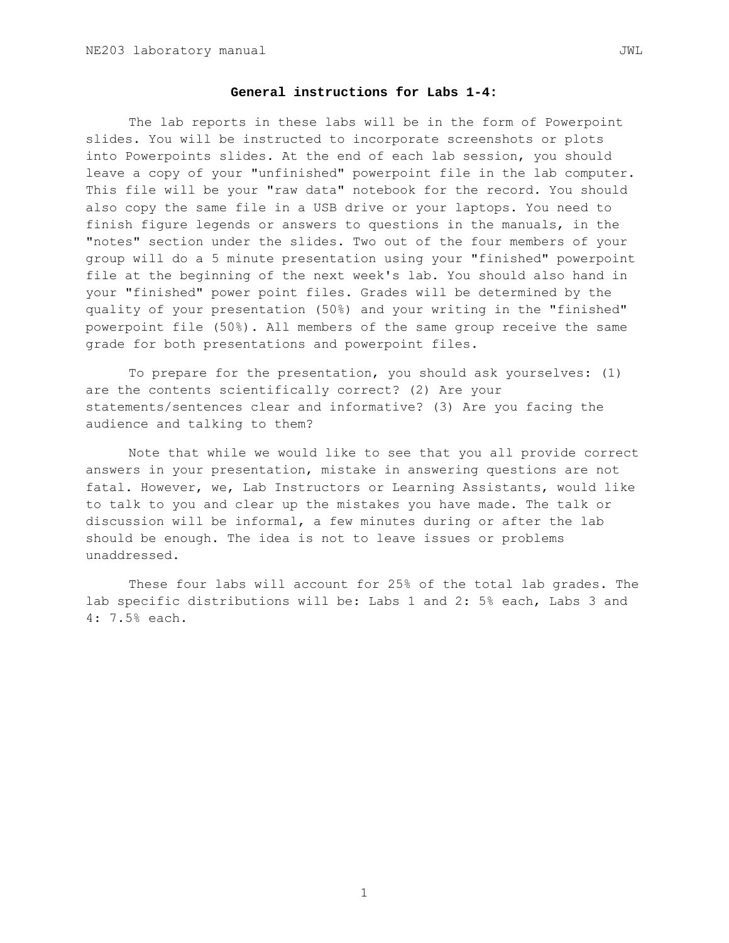# **General instructions for Labs 1-4:**

The lab reports in these labs will be in the form of Powerpoint slides. You will be instructed to incorporate screenshots or plots into Powerpoints slides. At the end of each lab session, you should leave a copy of your "unfinished" powerpoint file in the lab computer. This file will be your "raw data" notebook for the record. You should also copy the same file in a USB drive or your laptops. You need to finish figure legends or answers to questions in the manuals, in the "notes" section under the slides. Two out of the four members of your group will do a 5 minute presentation using your "finished" powerpoint file at the beginning of the next week's lab. You should also hand in your "finished" power point files. Grades will be determined by the quality of your presentation (50%) and your writing in the "finished" powerpoint file (50%). All members of the same group receive the same grade for both presentations and powerpoint files.

To prepare for the presentation, you should ask yourselves: (1) are the contents scientifically correct? (2) Are your statements/sentences clear and informative? (3) Are you facing the audience and talking to them?

Note that while we would like to see that you all provide correct answers in your presentation, mistake in answering questions are not fatal. However, we, Lab Instructors or Learning Assistants, would like to talk to you and clear up the mistakes you have made. The talk or discussion will be informal, a few minutes during or after the lab should be enough. The idea is not to leave issues or problems unaddressed.

These four labs will account for 25% of the total lab grades. The lab specific distributions will be: Labs 1 and 2: 5% each, Labs 3 and 4: 7.5% each.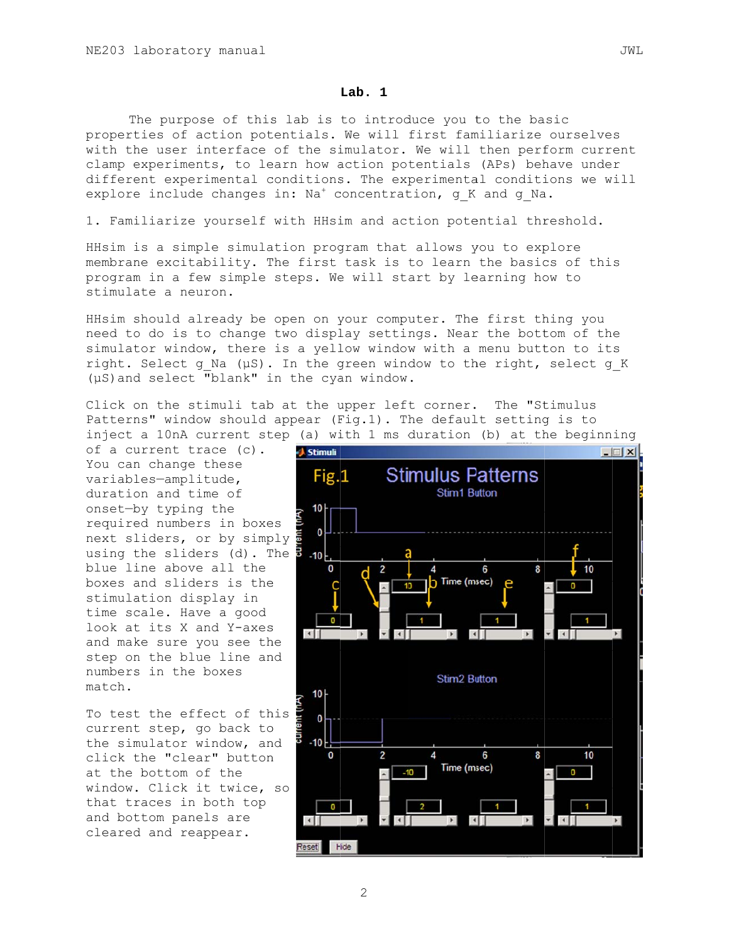#### Lab.  $1$

The purpose of this lab is to introduce you to the basic properties of action potentials. We will first familiarize ourselves with the user interface of the simulator. We will then perform current clamp experiments, to learn how action potentials (APs) behave under different experimental conditions. The experimental conditions we will explore include changes in:  $Na<sup>+</sup>$  concentration, g<sub>K</sub> and g<sub>Na</sub>.

1. Familiarize yourself with HHsim and action potential threshold.

HHsim is a simple simulation program that allows you to explore membrane excitability. The first task is to learn the basics of this program in a few simple steps. We will start by learning how to stimulate a neuron.

HHsim should already be open on your computer. The first thing you need to do is to change two display settings. Near the bottom of the simulator window, there is a yellow window with a menu button to its right. Select g Na (µS). In the green window to the right, select g K (µS) and select "blank" in the cyan window.

Click on the stimuli tab at the upper left corner. The "Stimulus Patterns" window should appear (Fig.1). The default setting is to inject a 10nA current step (a) with 1 ms duration (b) at the beginning

of a current trace (c). You can change these variables-amplitude, duration and time of onset-by typing the required numbers in boxes next sliders, or by simply using the sliders (d). The blue line above all the boxes and sliders is the stimulation display in time scale. Have a good look at its X and Y-axes and make sure you see the step on the blue line and numbers in the boxes  $mathch$ .

To test the effect of this current step, go back to the simulator window, and click the "clear" button at the bottom of the window. Click it twice, so that traces in both top and bottom panels are cleared and reappear.

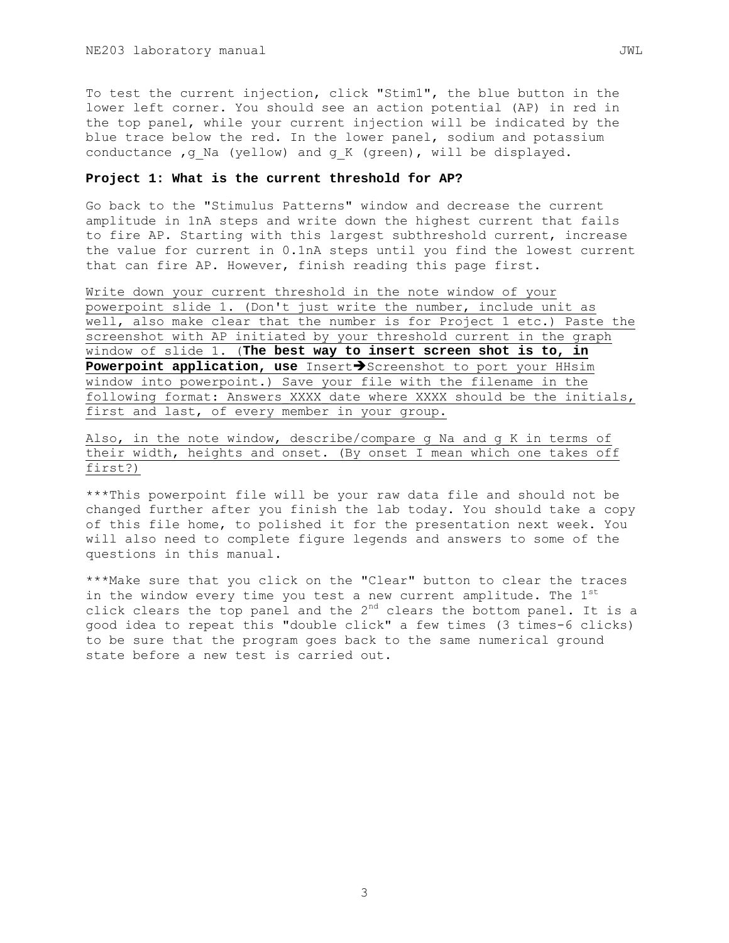To test the current injection, click "Stim1", the blue button in the lower left corner. You should see an action potential (AP) in red in the top panel, while your current injection will be indicated by the blue trace below the red. In the lower panel, sodium and potassium conductance , q Na (yellow) and q K (green), will be displayed.

#### **Project 1: What is the current threshold for AP?**

Go back to the "Stimulus Patterns" window and decrease the current amplitude in 1nA steps and write down the highest current that fails to fire AP. Starting with this largest subthreshold current, increase the value for current in 0.1nA steps until you find the lowest current that can fire AP. However, finish reading this page first.

Write down your current threshold in the note window of your powerpoint slide 1. (Don't just write the number, include unit as well, also make clear that the number is for Project 1 etc.) Paste the screenshot with AP initiated by your threshold current in the graph window of slide 1. (**The best way to insert screen shot is to, in**  Powerpoint application, use Insert<sup>></sup>Screenshot to port your HHsim window into powerpoint.) Save your file with the filename in the following format: Answers XXXX date where XXXX should be the initials, first and last, of every member in your group.

Also, in the note window, describe/compare g Na and g K in terms of their width, heights and onset. (By onset I mean which one takes off first?)

\*\*\*This powerpoint file will be your raw data file and should not be changed further after you finish the lab today. You should take a copy of this file home, to polished it for the presentation next week. You will also need to complete figure legends and answers to some of the questions in this manual.

\*\*\*Make sure that you click on the "Clear" button to clear the traces in the window every time you test a new current amplitude. The 1st click clears the top panel and the  $2<sup>nd</sup>$  clears the bottom panel. It is a good idea to repeat this "double click" a few times (3 times-6 clicks) to be sure that the program goes back to the same numerical ground state before a new test is carried out.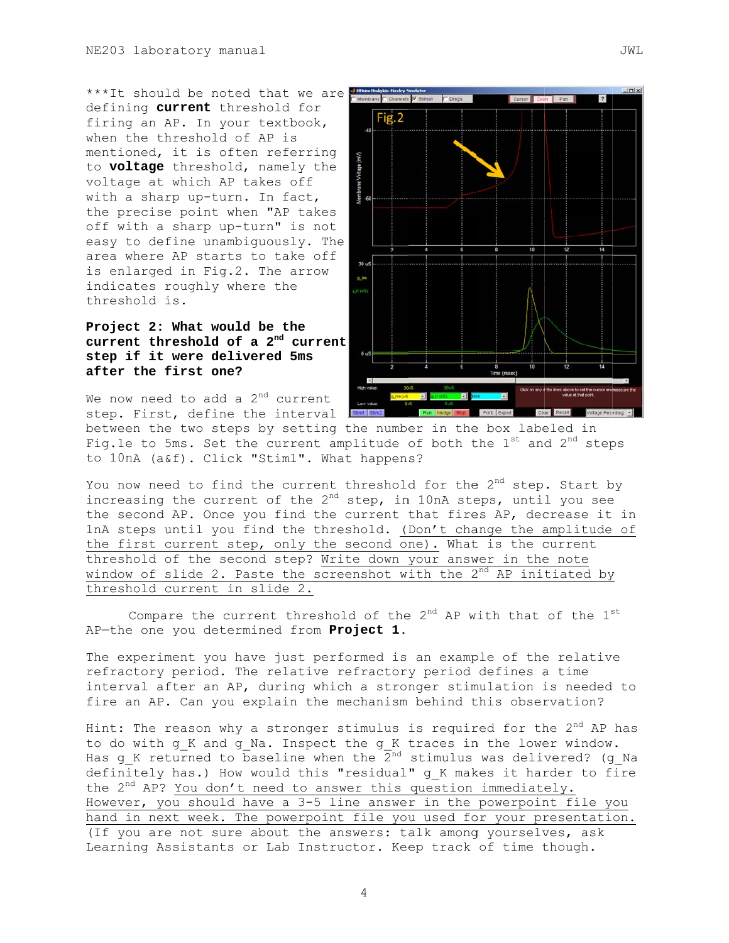\*\*\*It should be noted that we are defining current threshold for firing an AP. In your textbook, when the threshold of AP is mentioned, it is often referring to voltage threshold, namely the voltage at which AP takes off with a sharp up-turn. In fact, the precise point when "AP takes off with a sharp up-turn" is not easy to define unambiquously. The area where AP starts to take off is enlarged in Fig.2. The arrow indicates roughly where the threshold is.

Project 2: What would be the current threshold of a 2<sup>nd</sup> current step if it were delivered 5ms after the first one?

We now need to add a  $2^{nd}$  current step. First, define the interval



between the two steps by setting the number in the box labeled in Fig.1e to 5ms. Set the current amplitude of both the  $1^{st}$  and  $2^{nd}$  steps to 10nA (a&f). Click "Stim1". What happens?

You now need to find the current threshold for the 2<sup>nd</sup> step. Start by increasing the current of the 2<sup>nd</sup> step, in 10nA steps, until you see the second AP. Once you find the current that fires AP, decrease it in InA steps until you find the threshold. (Don't change the amplitude of the first current step, only the second one). What is the current threshold of the second step? Write down your answer in the note window of slide 2. Paste the screenshot with the 2<sup>nd</sup> AP initiated by threshold current in slide 2.

Compare the current threshold of the 2<sup>nd</sup> AP with that of the 1<sup>st</sup> AP-the one you determined from Project 1.

The experiment you have just performed is an example of the relative refractory period. The relative refractory period defines a time interval after an AP, during which a stronger stimulation is needed to fire an AP. Can you explain the mechanism behind this observation?

Hint: The reason why a stronger stimulus is required for the 2<sup>nd</sup> AP has to do with g K and g Na. Inspect the g K traces in the lower window. Has g K returned to baseline when the  $2^{nd}$  stimulus was delivered? (g Na definitely has.) How would this "residual" g K makes it harder to fire the  $2^{nd}$  AP? You don't need to answer this question immediately. However, you should have a 3-5 line answer in the powerpoint file you hand in next week. The powerpoint file you used for your presentation. (If you are not sure about the answers: talk among yourselves, ask Learning Assistants or Lab Instructor. Keep track of time though.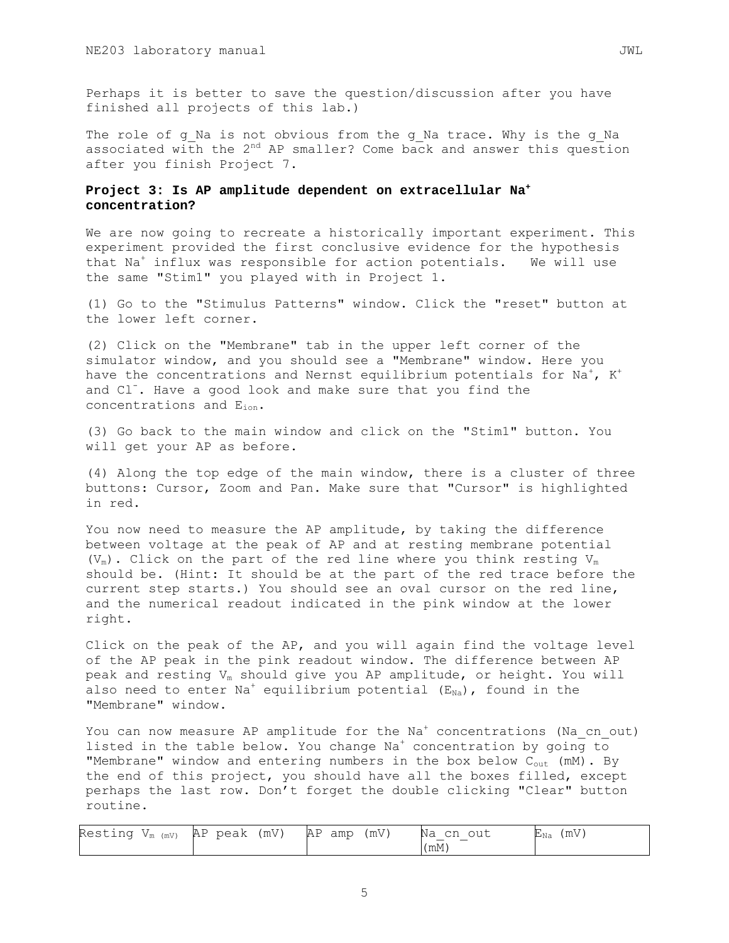Perhaps it is better to save the question/discussion after you have finished all projects of this lab.)

The role of g\_Na is not obvious from the g\_Na trace. Why is the g\_Na associated with the  $2^{nd}$  AP smaller? Come back and answer this question after you finish Project 7.

# **Project 3: Is AP amplitude dependent on extracellular Na<sup>+</sup> concentration?**

We are now going to recreate a historically important experiment. This experiment provided the first conclusive evidence for the hypothesis that Na<sup>+</sup> influx was responsible for action potentials. We will use the same "Stim1" you played with in Project 1.

(1) Go to the "Stimulus Patterns" window. Click the "reset" button at the lower left corner.

(2) Click on the "Membrane" tab in the upper left corner of the simulator window, and you should see a "Membrane" window. Here you have the concentrations and Nernst equilibrium potentials for Na $^{\dagger}$ , K $^{\dagger}$ and Cl<sup>-</sup>. Have a good look and make sure that you find the concentrations and Eion.

(3) Go back to the main window and click on the "Stim1" button. You will get your AP as before.

(4) Along the top edge of the main window, there is a cluster of three buttons: Cursor, Zoom and Pan. Make sure that "Cursor" is highlighted in red.

You now need to measure the AP amplitude, by taking the difference between voltage at the peak of AP and at resting membrane potential (V<sub>m</sub>). Click on the part of the red line where you think resting V<sub>m</sub> should be. (Hint: It should be at the part of the red trace before the current step starts.) You should see an oval cursor on the red line, and the numerical readout indicated in the pink window at the lower right.

Click on the peak of the AP, and you will again find the voltage level of the AP peak in the pink readout window. The difference between AP peak and resting  $V_m$  should give you AP amplitude, or height. You will also need to enter Na<sup>+</sup> equilibrium potential ( $E_{Na}$ ), found in the "Membrane" window.

You can now measure AP amplitude for the  ${\rm Na}^+$  concentrations (Na\_cn\_out) listed in the table below. You change  $Na^{+}$  concentration by going to "Membrane" window and entering numbers in the box below  $C_{out}$  (mM). By the end of this project, you should have all the boxes filled, except perhaps the last row. Don't forget the double clicking "Clear" button routine.

| Resting $V_{m(mV)}$ | AP peak (mV) | (mV)<br>AP amp | Na cn out | (mV)<br>$E_{\rm Na}$ |
|---------------------|--------------|----------------|-----------|----------------------|
|                     |              |                | (mM)      |                      |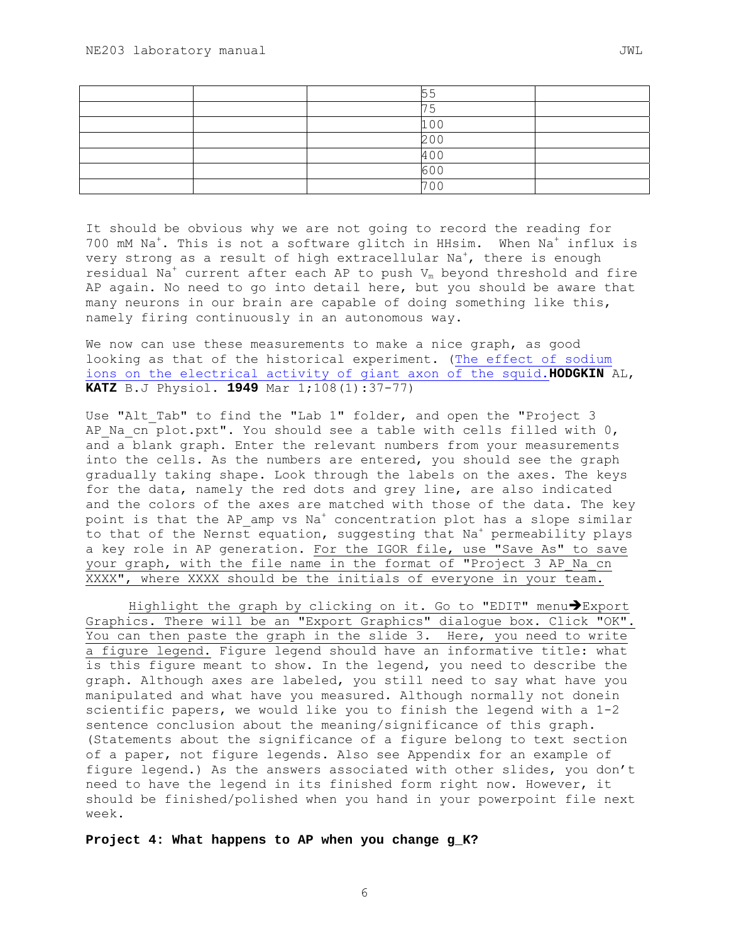|  | 100 |  |
|--|-----|--|
|  | 200 |  |
|  | 400 |  |
|  | 600 |  |
|  | 700 |  |

It should be obvious why we are not going to record the reading for 700 mM Na<sup>+</sup>. This is not a software glitch in HHsim. When Na<sup>+</sup> influx is very strong as a result of high extracellular Na $^\dagger$ , there is enough residual Na<sup>+</sup> current after each AP to push  $V_m$  beyond threshold and fire AP again. No need to go into detail here, but you should be aware that many neurons in our brain are capable of doing something like this, namely firing continuously in an autonomous way.

We now can use these measurements to make a nice graph, as good looking as that of the historical experiment. (The effect of sodium ions on the electrical activity of giant axon of the squid.**HODGKIN** AL, **KATZ** B.J Physiol. **1949** Mar 1;108(1):37-77)

Use "Alt Tab" to find the "Lab 1" folder, and open the "Project 3 AP Na cn plot.pxt". You should see a table with cells filled with  $0$ , and a blank graph. Enter the relevant numbers from your measurements into the cells. As the numbers are entered, you should see the graph gradually taking shape. Look through the labels on the axes. The keys for the data, namely the red dots and grey line, are also indicated and the colors of the axes are matched with those of the data. The key point is that the AP\_amp vs Na<sup>+</sup> concentration plot has a slope similar to that of the Nernst equation, suggesting that Na<sup>+</sup> permeability plays a key role in AP generation. For the IGOR file, use "Save As" to save your graph, with the file name in the format of "Project 3 AP Na cn XXXX", where XXXX should be the initials of everyone in your team.

Highlight the graph by clicking on it. Go to "EDIT" menu $\blacktriangleright$ Export Graphics. There will be an "Export Graphics" dialogue box. Click "OK". You can then paste the graph in the slide 3. Here, you need to write a figure legend. Figure legend should have an informative title: what is this figure meant to show. In the legend, you need to describe the graph. Although axes are labeled, you still need to say what have you manipulated and what have you measured. Although normally not donein scientific papers, we would like you to finish the legend with a 1-2 sentence conclusion about the meaning/significance of this graph. (Statements about the significance of a figure belong to text section of a paper, not figure legends. Also see Appendix for an example of figure legend.) As the answers associated with other slides, you don't need to have the legend in its finished form right now. However, it should be finished/polished when you hand in your powerpoint file next week.

**Project 4: What happens to AP when you change g\_K?**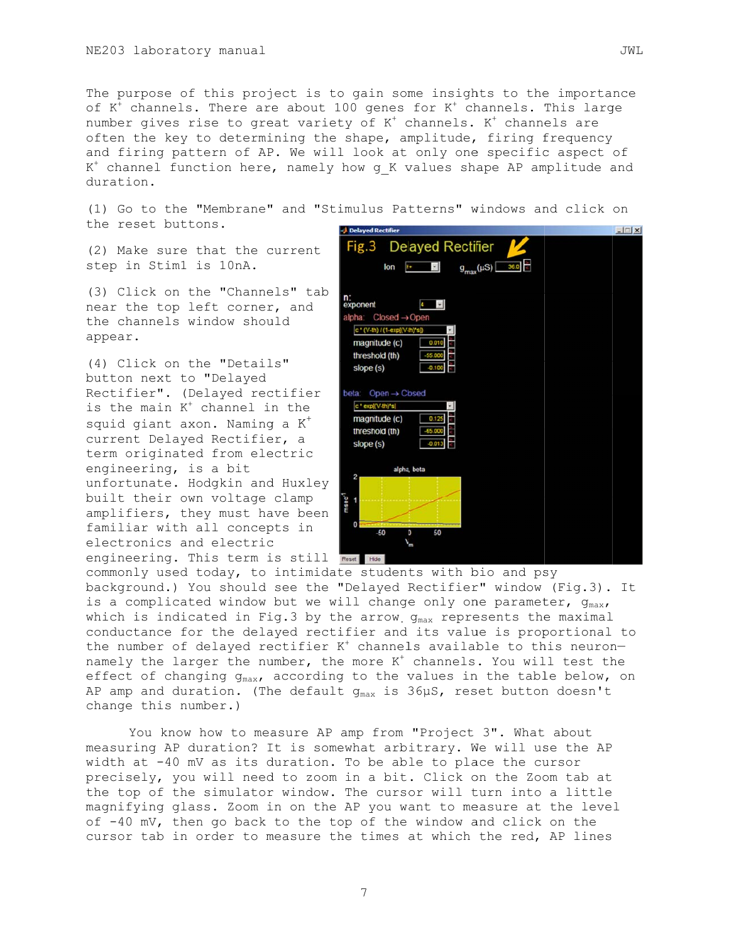The purpose of this project is to gain some insights to the importance of  $K^+$  channels. There are about 100 genes for  $K^+$  channels. This large number gives rise to great variety of K<sup>+</sup> channels. K<sup>+</sup> channels are often the key to determining the shape, amplitude, firing frequency and firing pattern of AP. We will look at only one specific aspect of K<sup>+</sup> channel function here, namely how g K values shape AP amplitude and duration.

(1) Go to the "Membrane" and "Stimulus Patterns" windows and click on the reset buttons.

(2) Make sure that the current step in Stim1 is 10nA.

(3) Click on the "Channels" tab near the top left corner, and the channels window should appear.

(4) Click on the "Details" button next to "Delayed Rectifier". (Delayed rectifier is the main K<sup>+</sup> channel in the squid giant axon. Naming a K<sup>+</sup> current Delayed Rectifier, a term originated from electric engineering, is a bit unfortunate. Hodgkin and Huxley built their own voltage clamp amplifiers, they must have been familiar with all concepts in electronics and electric engineering. This term is still

| Delayed Rectifier                           | $-1$ $-1$ $\times$ |
|---------------------------------------------|--------------------|
| Fig.3 Delayed Rectifier                     |                    |
| $g_{\text{max}}(\mu S)$ 36.0<br>lon<br>K+ C |                    |
| n:<br>exponent<br>k.<br>$\bullet$           |                    |
| alpha:<br>$Closed \rightarrow Open$         |                    |
| c * (V-th) / (1-exp((V-th)*s])              |                    |
| magnitude (c)<br>0.010                      |                    |
| threshold (th)<br>55,000                    |                    |
| slope (s)<br>$-0.100$                       |                    |
|                                             |                    |
| $Open \rightarrow Closed$<br>beta:          |                    |
| c * exp((V-th)*s)                           |                    |
| magnitude (c)<br>0.125                      |                    |
| threshold (th)<br>$-65,000$                 |                    |
| slope (s)<br>$-0.013$                       |                    |
|                                             |                    |
| alpha, beta<br>$\overline{\mathbf{c}}$      |                    |
|                                             |                    |
| $msac$ <sup>1</sup>                         |                    |
|                                             |                    |
| 0                                           |                    |
| $-50$<br>50<br>0<br>$\mathbf{v}_0$          |                    |
|                                             |                    |
| Reset<br>Hide                               |                    |

commonly used today, to intimidate students with bio and psy background.) You should see the "Delayed Rectifier" window (Fig.3). It is a complicated window but we will change only one parameter,  $g_{max}$ , which is indicated in Fig.3 by the arrow  $q_{max}$  represents the maximal conductance for the delayed rectifier and its value is proportional to the number of delayed rectifier K<sup>+</sup> channels available to this neuronnamely the larger the number, the more K<sup>+</sup> channels. You will test the effect of changing g<sub>max</sub>, according to the values in the table below, on AP amp and duration. (The default  $q_{max}$  is 36µS, reset button doesn't change this number.)

You know how to measure AP amp from "Project 3". What about measuring AP duration? It is somewhat arbitrary. We will use the AP width at -40 mV as its duration. To be able to place the cursor precisely, you will need to zoom in a bit. Click on the Zoom tab at the top of the simulator window. The cursor will turn into a little magnifying glass. Zoom in on the AP you want to measure at the level of -40 mV, then go back to the top of the window and click on the cursor tab in order to measure the times at which the red, AP lines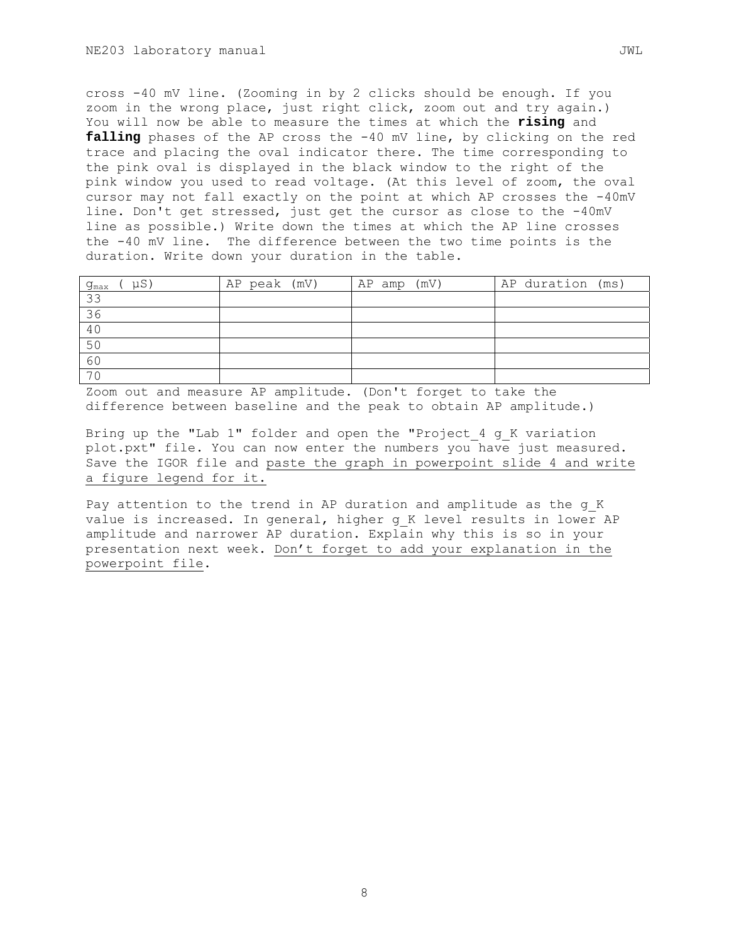cross -40 mV line. (Zooming in by 2 clicks should be enough. If you zoom in the wrong place, just right click, zoom out and try again.) You will now be able to measure the times at which the **rising** and **falling** phases of the AP cross the -40 mV line, by clicking on the red trace and placing the oval indicator there. The time corresponding to the pink oval is displayed in the black window to the right of the pink window you used to read voltage. (At this level of zoom, the oval cursor may not fall exactly on the point at which AP crosses the -40mV line. Don't get stressed, just get the cursor as close to the -40mV line as possible.) Write down the times at which the AP line crosses the -40 mV line. The difference between the two time points is the duration. Write down your duration in the table.

| uS'<br>$g_{\text{max}}$ | AP peak (mV) | $AP$ amp $(mV)$ | AP duration (ms) |
|-------------------------|--------------|-----------------|------------------|
| 33                      |              |                 |                  |
| 36                      |              |                 |                  |
| 40                      |              |                 |                  |
| 50                      |              |                 |                  |
| 60                      |              |                 |                  |
| 70                      |              |                 |                  |

Zoom out and measure AP amplitude. (Don't forget to take the difference between baseline and the peak to obtain AP amplitude.)

Bring up the "Lab 1" folder and open the "Project 4 g K variation plot.pxt" file. You can now enter the numbers you have just measured. Save the IGOR file and paste the graph in powerpoint slide 4 and write a figure legend for it.

Pay attention to the trend in AP duration and amplitude as the g\_K value is increased. In general, higher g K level results in lower AP amplitude and narrower AP duration. Explain why this is so in your presentation next week. Don't forget to add your explanation in the powerpoint file.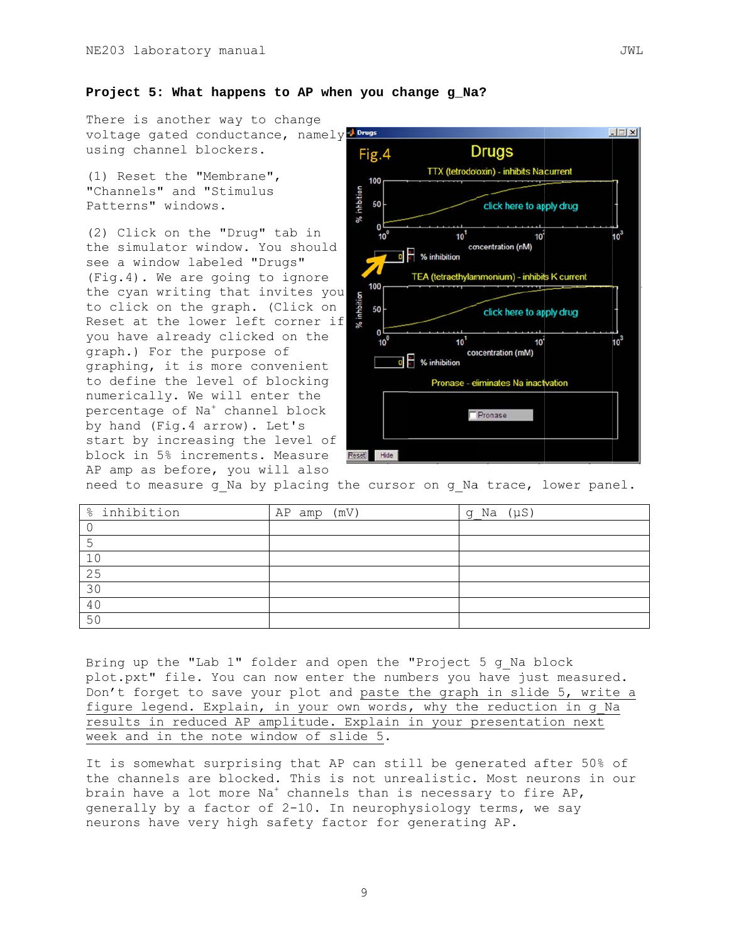There is another way to change voltage gated conductance, namely brugs using channel blockers.

(1) Reset the "Membrane", "Channels" and "Stimulus Patterns" windows.

(2) Click on the "Drug" tab in the simulator window. You should see a window labeled "Drugs" (Fig.4). We are going to ignore the cyan writing that invites you to click on the graph. (Click on Reset at the lower left corner if you have already clicked on the graph.) For the purpose of graphing, it is more convenient to define the level of blocking numerically. We will enter the percentage of Na<sup>+</sup> channel block by hand (Fig. 4 arrow). Let's start by increasing the level of block in 5% increments. Measure AP amp as before, you will also



need to measure g Na by placing the cursor on g Na trace, lower panel.

| % inhibition | (mV)<br>AP amp | g Na $(\mu S)$ |
|--------------|----------------|----------------|
|              |                |                |
|              |                |                |
| 10           |                |                |
| 25           |                |                |
| 30           |                |                |
| 40           |                |                |
| 50           |                |                |

Bring up the "Lab 1" folder and open the "Project 5 g Na block plot.pxt" file. You can now enter the numbers you have just measured. Don't forget to save your plot and paste the graph in slide 5, write a figure legend. Explain, in your own words, why the reduction in g Na results in reduced AP amplitude. Explain in your presentation next week and in the note window of slide 5.

It is somewhat surprising that AP can still be generated after 50% of the channels are blocked. This is not unrealistic. Most neurons in our brain have a lot more  $Na<sup>+</sup>$  channels than is necessary to fire AP, generally by a factor of 2-10. In neurophysiology terms, we say neurons have very high safety factor for generating AP.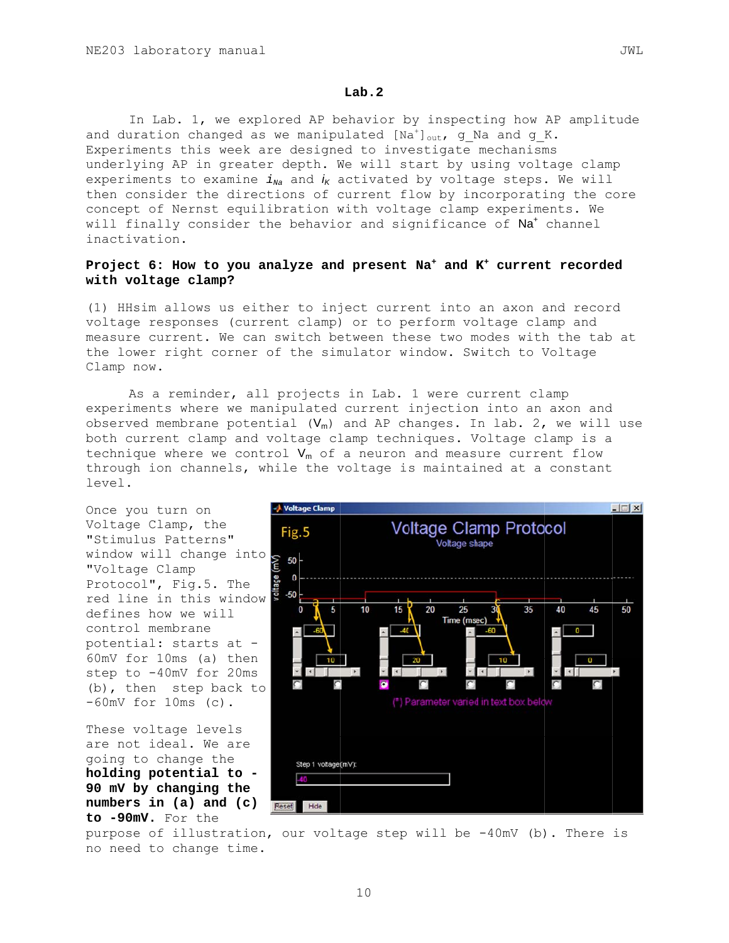#### $Lab.2$

In Lab. 1, we explored AP behavior by inspecting how AP amplitude and duration changed as we manipulated [Na<sup>+</sup>]<sub>out</sub>, g Na and g K. Experiments this week are designed to investigate mechanisms underlying AP in greater depth. We will start by using voltage clamp experiments to examine  $i_{Na}$  and  $i_{K}$  activated by voltage steps. We will then consider the directions of current flow by incorporating the core concept of Nernst equilibration with voltage clamp experiments. We will finally consider the behavior and significance of Na<sup>+</sup> channel inactivation.

#### Project 6: How to you analyze and present  $Na<sup>+</sup>$  and  $K<sup>+</sup>$  current recorded with voltage clamp?

(1) HHsim allows us either to inject current into an axon and record voltage responses (current clamp) or to perform voltage clamp and measure current. We can switch between these two modes with the tab at the lower right corner of the simulator window. Switch to Voltage Clamp now.

As a reminder, all projects in Lab. 1 were current clamp experiments where we manipulated current injection into an axon and observed membrane potential  $(V_m)$  and AP changes. In lab. 2, we will use both current clamp and voltage clamp techniques. Voltage clamp is a technique where we control  $V_m$  of a neuron and measure current flow through ion channels, while the voltage is maintained at a constant level.



purpose of illustration, our voltage step will be -40mV (b). There is no need to change time.

JWL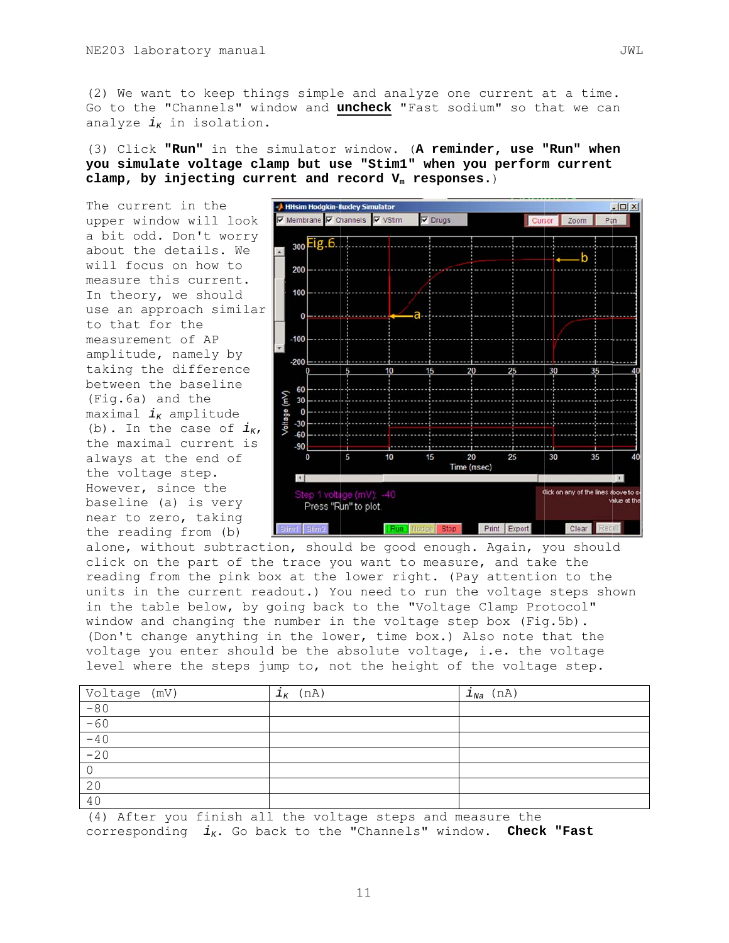(2) We want to keep things simple and analyze one current at a time. Go to the "Channels" window and uncheck "Fast sodium" so that we can analyze  $i_{K}$  in isolation.

(3) Click "Run" in the simulator window. (A reminder, use "Run" when you simulate voltage clamp but use "Stim1" when you perform current clamp, by injecting current and record  $V_m$  responses.)

The current in the upper window will look a bit odd. Don't worry about the details. We will focus on how to measure this current. In theory, we should use an approach similar to that for the measurement of AP amplitude, namely by taking the difference between the baseline (Fig.6a) and the maximal  $i_{K}$  amplitude (b). In the case of  $i_{K}$ , the maximal current is always at the end of the voltage step. However, since the baseline (a) is very near to zero, taking the reading from (b)



alone, without subtraction, should be good enough. Again, you should click on the part of the trace you want to measure, and take the reading from the pink box at the lower right. (Pay attention to the units in the current readout.) You need to run the voltage steps shown in the table below, by going back to the "Voltage Clamp Protocol" window and changing the number in the voltage step box (Fig.5b). (Don't change anything in the lower, time box.) Also note that the voltage you enter should be the absolute voltage, i.e. the voltage level where the steps jump to, not the height of the voltage step.

| $\frac{\text{Voltage (mV)}}{-80}$ | $i_{K}$ (nA) | $i_{Na}$ (nA) |
|-----------------------------------|--------------|---------------|
|                                   |              |               |
|                                   |              |               |
| $-60$<br>$-40$<br>$-20$           |              |               |
|                                   |              |               |
|                                   |              |               |
| 20                                |              |               |
| 40                                |              |               |

(4) After you finish all the voltage steps and measure the corresponding  $i_K$ . Go back to the "Channels" window. Check "Fast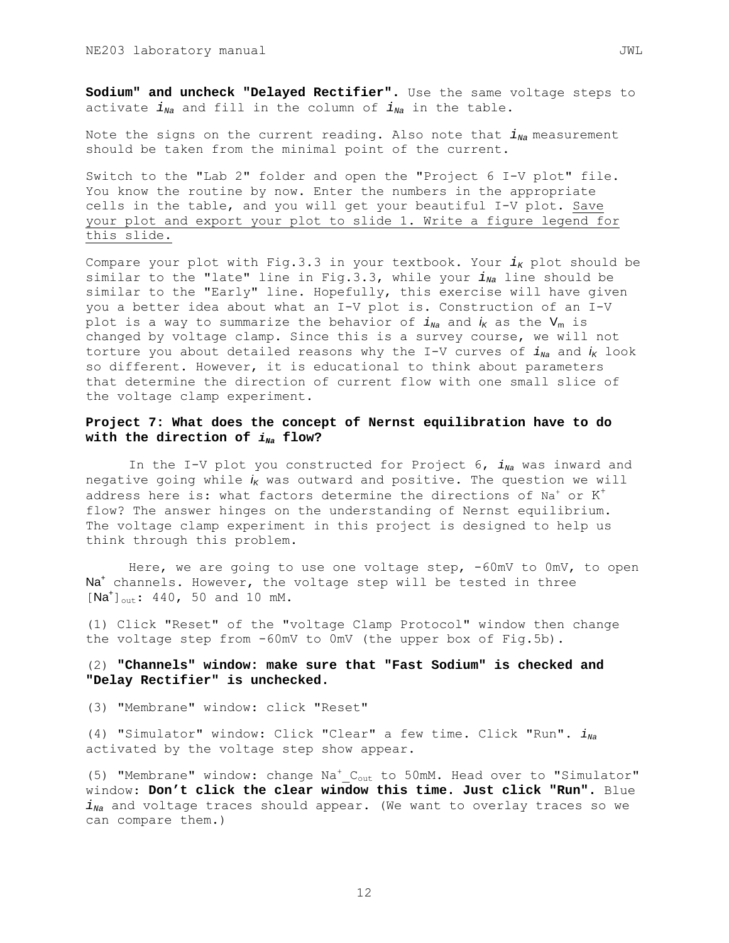**Sodium" and uncheck "Delayed Rectifier".** Use the same voltage steps to activate  $i_{Na}$  and fill in the column of  $i_{Na}$  in the table.

Note the signs on the current reading. Also note that  $i_{N_a}$  measurement should be taken from the minimal point of the current.

Switch to the "Lab 2" folder and open the "Project 6 I-V plot" file. You know the routine by now. Enter the numbers in the appropriate cells in the table, and you will get your beautiful I-V plot. Save your plot and export your plot to slide 1. Write a figure legend for this slide.

Compare your plot with Fig.3.3 in your textbook. Your  $i_K$  plot should be similar to the "late" line in Fig.3.3, while your  $i_{Na}$  line should be similar to the "Early" line. Hopefully, this exercise will have given you a better idea about what an I-V plot is. Construction of an I-V plot is a way to summarize the behavior of  $i_{Na}$  and  $i_{K}$  as the  $V_{m}$  is changed by voltage clamp. Since this is a survey course, we will not torture you about detailed reasons why the I-V curves of  $i_{N_a}$  and  $i_K$  look so different. However, it is educational to think about parameters that determine the direction of current flow with one small slice of the voltage clamp experiment.

## **Project 7: What does the concept of Nernst equilibration have to do**  with the direction of  $i_{Na}$  flow?

In the I-V plot you constructed for Project 6,  $i_{Na}$  was inward and negative going while  $i_K$  was outward and positive. The question we will address here is: what factors determine the directions of Na<sup>+</sup> or  $K^{\pm}$ flow? The answer hinges on the understanding of Nernst equilibrium. The voltage clamp experiment in this project is designed to help us think through this problem.

 Here, we are going to use one voltage step, -60mV to 0mV, to open Na<sup>+</sup> channels. However, the voltage step will be tested in three  $[Na^{+}]_{out}: 440, 50$  and 10 mM.

(1) Click "Reset" of the "voltage Clamp Protocol" window then change the voltage step from -60mV to 0mV (the upper box of Fig.5b).

## (2) **"Channels" window: make sure that "Fast Sodium" is checked and "Delay Rectifier" is unchecked.**

(3) "Membrane" window: click "Reset"

(4) "Simulator" window: Click "Clear" a few time. Click "Run".  $i_{Na}$ activated by the voltage step show appear.

(5) "Membrane" window: change Na<sup>+</sup>\_C<sub>out</sub> to 50mM. Head over to "Simulator" window: **Don't click the clear window this time. Just click "Run".** Blue  $i_{Na}$  and voltage traces should appear. (We want to overlay traces so we can compare them.)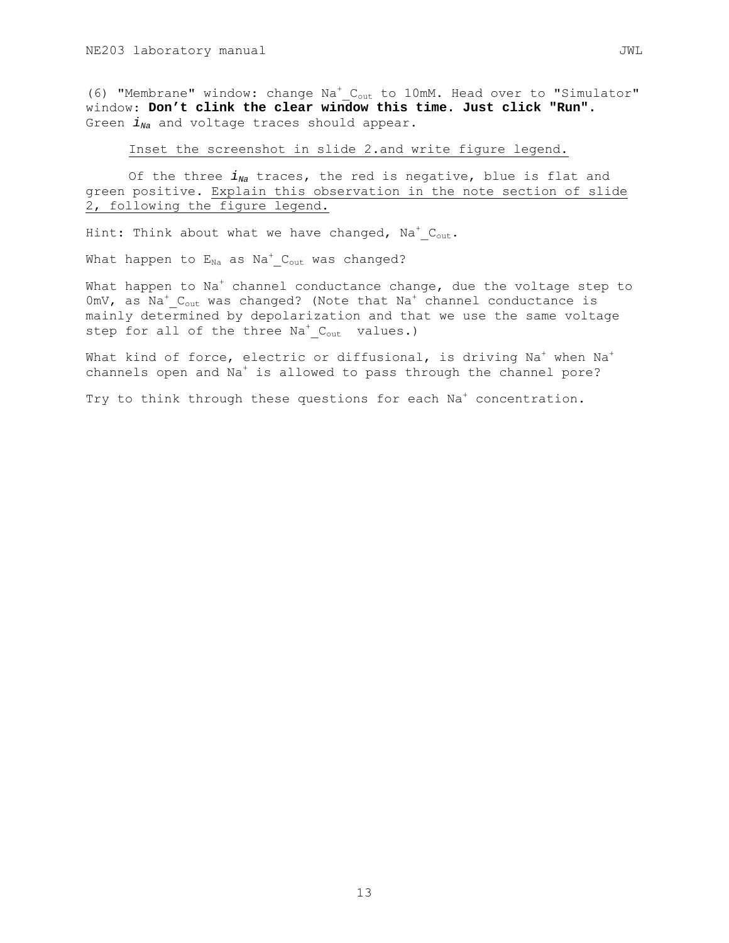(6) "Membrane" window: change Na<sup>+</sup>\_C<sub>out</sub> to 10mM. Head over to "Simulator" window: **Don't clink the clear window this time. Just click "Run".** Green  $i_{Na}$  and voltage traces should appear.

Inset the screenshot in slide 2.and write figure legend.

Of the three  $i_{Na}$  traces, the red is negative, blue is flat and green positive. Explain this observation in the note section of slide 2, following the figure legend.

Hint: Think about what we have changed,  $\mathtt{Na^+_{out}.}$ 

What happen to  $\mathtt{E_{Na}}$  as  $\mathtt{Na}^{+}\_\mathtt{Cut}$  was changed?

What happen to Na $^{\mathrm{+}}$  channel conductance change, due the voltage step to  $0$ mV, as  $\text{Na}^+$   $\text{C}_{\text{out}}$  was changed? (Note that  $\text{Na}^+$  channel conductance is mainly determined by depolarization and that we use the same voltage step for all of the three Na<sup>+</sup>\_C<sub>out</sub> values.)

What kind of force, electric or diffusional, is driving Na $^{\mathrm{+}}$  when Na $^{\mathrm{+}}$ channels open and Na<sup>+</sup> is allowed to pass through the channel pore?

Try to think through these questions for each Na<sup>+</sup> concentration.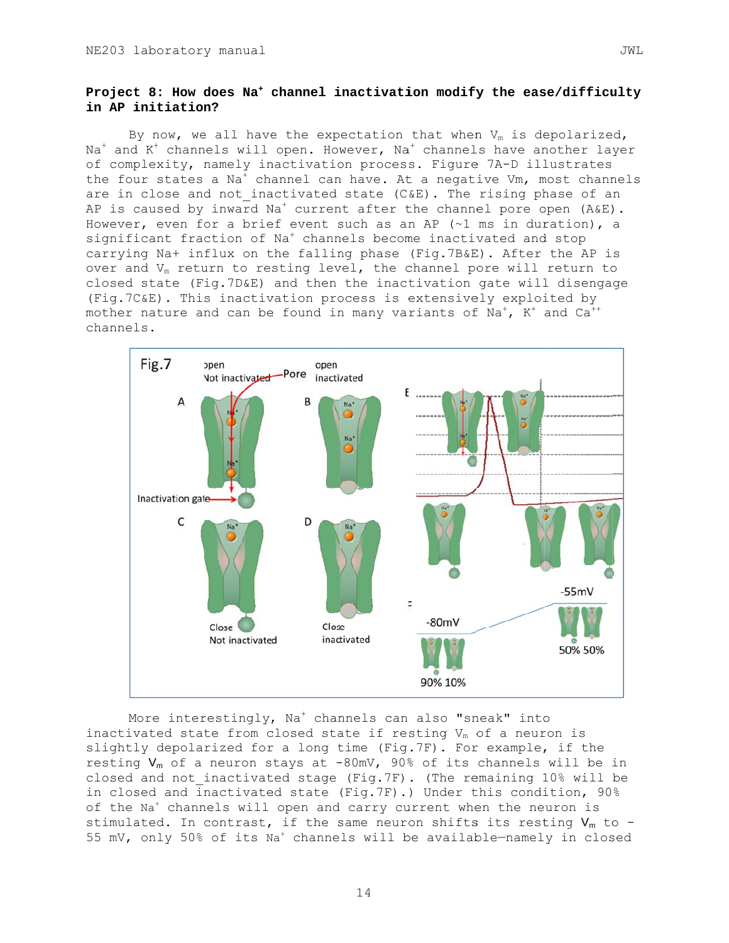# Project 8: How does Na<sup>+</sup> channel inactivation modify the ease/difficulty in AP initiation?

By now, we all have the expectation that when  $V_m$  is depolarized,  $Na<sup>+</sup>$  and  $K<sup>+</sup>$  channels will open. However, Na<sup>+</sup> channels have another layer of complexity, namely inactivation process. Figure 7A-D illustrates the four states a Na<sup>+</sup> channel can have. At a negative Vm, most channels are in close and not inactivated state (C&E). The rising phase of an AP is caused by inward  $Na<sup>+</sup>$  current after the channel pore open (A&E). However, even for a brief event such as an AP  $(\sim 1 \text{ ms in duration})$ , a significant fraction of Na<sup>+</sup> channels become inactivated and stop carrying Na+ influx on the falling phase (Fig.7B&E). After the AP is over and V<sub>m</sub> return to resting level, the channel pore will return to closed state (Fig.7D&E) and then the inactivation gate will disengage (Fig.7C&E). This inactivation process is extensively exploited by mother nature and can be found in many variants of Na<sup>+</sup>, K<sup>+</sup> and Ca<sup>++</sup> channels.



More interestingly, Na<sup>+</sup> channels can also "sneak" into inactivated state from closed state if resting  $V_m$  of a neuron is slightly depolarized for a long time (Fig.7F). For example, if the resting  $V_m$  of a neuron stays at -80mV, 90% of its channels will be in closed and not inactivated stage (Fig.7F). (The remaining 10% will be in closed and inactivated state (Fig.7F).) Under this condition, 90% of the Na<sup>+</sup> channels will open and carry current when the neuron is stimulated. In contrast, if the same neuron shifts its resting  $V_m$  to -55 mV, only 50% of its Na<sup>+</sup> channels will be available-namely in closed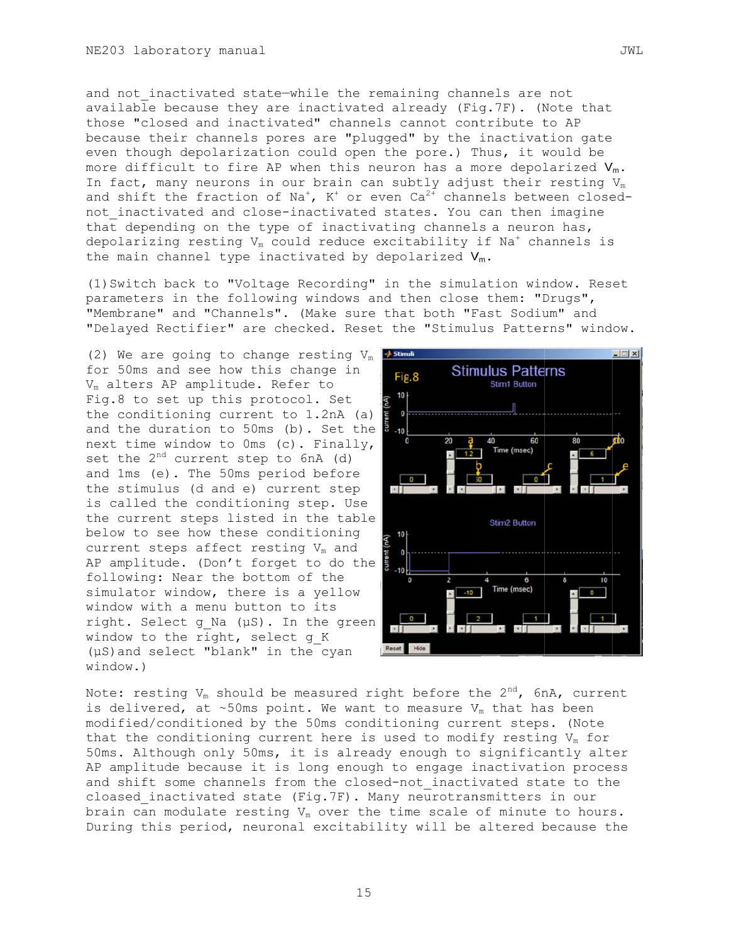and not inactivated state-while the remaining channels are not available because they are inactivated already (Fig.7F). (Note that those "closed and inactivated" channels cannot contribute to AP because their channels pores are "plugged" by the inactivation gate even though depolarization could open the pore.) Thus, it would be more difficult to fire AP when this neuron has a more depolarized  $V_m$ . In fact, many neurons in our brain can subtly adjust their resting  $V_m$ and shift the fraction of Na<sup>+</sup>,  $K^+$  or even Ca<sup>2+</sup> channels between closednot inactivated and close-inactivated states. You can then imagine that depending on the type of inactivating channels a neuron has, depolarizing resting  $V_m$  could reduce excitability if  $Na<sup>+</sup>$  channels is the main channel type inactivated by depolarized  $V_m$ .

(1) Switch back to "Voltage Recording" in the simulation window. Reset parameters in the following windows and then close them: "Drugs", "Membrane" and "Channels". (Make sure that both "Fast Sodium" and "Delayed Rectifier" are checked. Reset the "Stimulus Patterns" window.

(2) We are going to change resting  $V_m$  **J Stimul** for 50ms and see how this change in V<sub>m</sub> alters AP amplitude. Refer to Fig.8 to set up this protocol. Set the conditioning current to 1.2nA (a) and the duration to 50ms (b). Set the next time window to Oms (c). Finally, set the 2<sup>nd</sup> current step to 6nA (d) and 1ms (e). The 50ms period before the stimulus (d and e) current step is called the conditioning step. Use the current steps listed in the table below to see how these conditioning current steps affect resting V<sub>m</sub> and AP amplitude. (Don't forget to do the following: Near the bottom of the simulator window, there is a yellow window with a menu button to its right. Select g Na (µS). In the green window to the right, select q K  $(\mu S)$  and select "blank" in the cyan window.)



Note: resting  $V_m$  should be measured right before the 2<sup>nd</sup>, 6nA, current is delivered, at ~50ms point. We want to measure  $V_m$  that has been modified/conditioned by the 50ms conditioning current steps. (Note that the conditioning current here is used to modify resting  $V_m$  for 50ms. Although only 50ms, it is already enough to significantly alter AP amplitude because it is long enough to engage inactivation process and shift some channels from the closed-not inactivated state to the cloased inactivated state (Fig.7F). Many neurotransmitters in our brain can modulate resting  $V_m$  over the time scale of minute to hours. During this period, neuronal excitability will be altered because the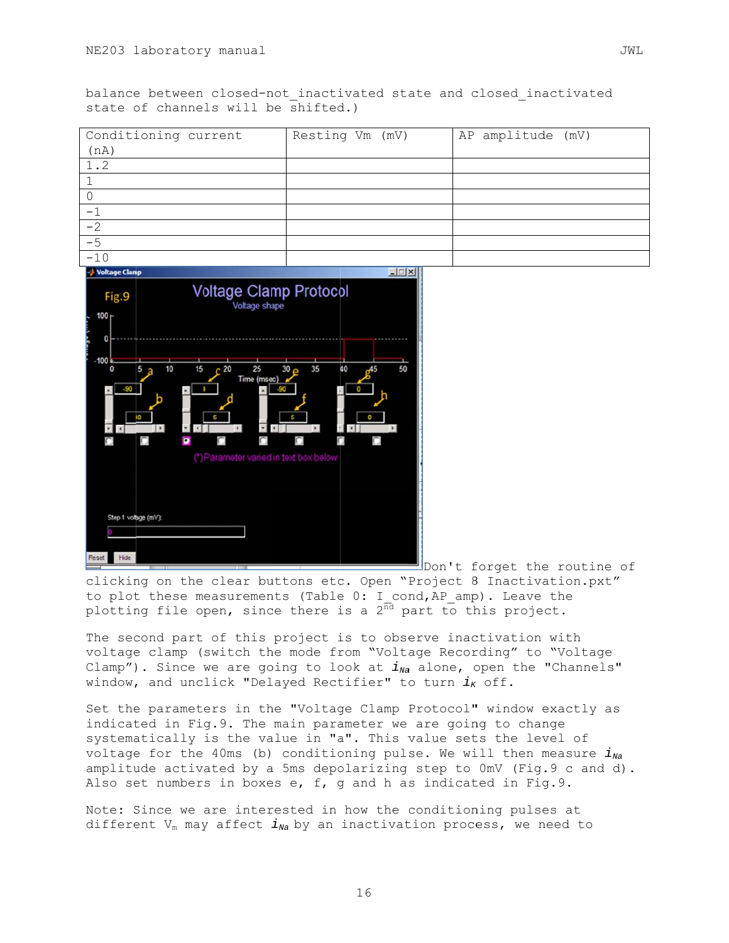balance between closed-not inactivated state and closed inactivated state of channels will be shifted.)

| Conditioning current | Resting Vm (mV) | AP amplitude (mV) |
|----------------------|-----------------|-------------------|
| (nA)                 |                 |                   |
| 1.2                  |                 |                   |
|                      |                 |                   |
|                      |                 |                   |
|                      |                 |                   |
| $-2$                 |                 |                   |
| $-5$                 |                 |                   |
| $-10$                |                 |                   |



Don't forget the routine of clicking on the clear buttons etc. Open "Project 8 Inactivation.pxt" to plot these measurements (Table 0: I cond, AP amp). Leave the plotting file open, since there is a  $2^{\overline{nd}}$  part to this project.

The second part of this project is to observe inactivation with voltage clamp (switch the mode from "Voltage Recording" to "Voltage Clamp"). Since we are going to look at  $i_{Na}$  alone, open the "Channels" window, and unclick "Delayed Rectifier" to turn  $i_K$  off.

Set the parameters in the "Voltage Clamp Protocol" window exactly as indicated in Fig.9. The main parameter we are going to change systematically is the value in "a". This value sets the level of voltage for the 40ms (b) conditioning pulse. We will then measure  $i_{Na}$ amplitude activated by a 5ms depolarizing step to 0mV (Fig.9 c and d). Also set numbers in boxes e, f, q and h as indicated in Fig.9.

Note: Since we are interested in how the conditioning pulses at different  $V_m$  may affect  $i_{Na}$  by an inactivation process, we need to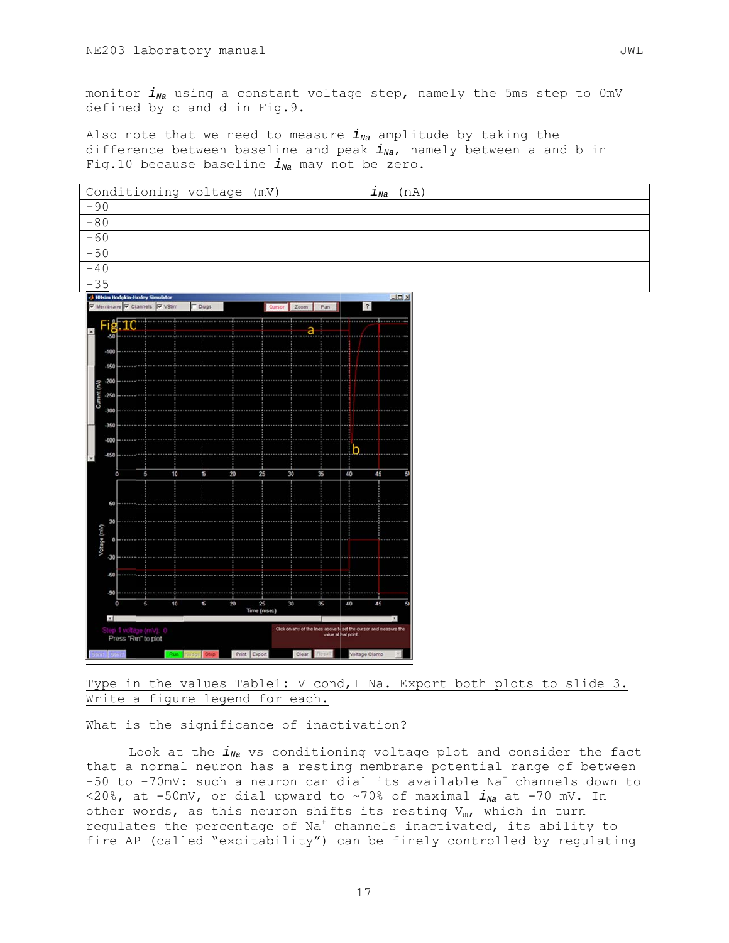monitor  $i_{Na}$  using a constant voltage step, namely the 5ms step to 0mV defined by c and d in Fig.9.

Also note that we need to measure  $i_{Na}$  amplitude by taking the difference between baseline and peak  $i_{Na}$ , namely between a and b in Fig.10 because baseline  $i_{Na}$  may not be zero.



Type in the values Tablel: V cond, I Na. Export both plots to slide 3. Write a figure legend for each.

What is the significance of inactivation?

Look at the  $i_{Na}$  vs conditioning voltage plot and consider the fact that a normal neuron has a resting membrane potential range of between  $-50$  to  $-70$ mV: such a neuron can dial its available Na<sup>+</sup> channels down to <20%, at -50mV, or dial upward to ~70% of maximal  $i_{Na}$  at -70 mV. In other words, as this neuron shifts its resting  $V_m$ , which in turn requlates the percentage of Na<sup>+</sup> channels inactivated, its ability to fire AP (called "excitability") can be finely controlled by regulating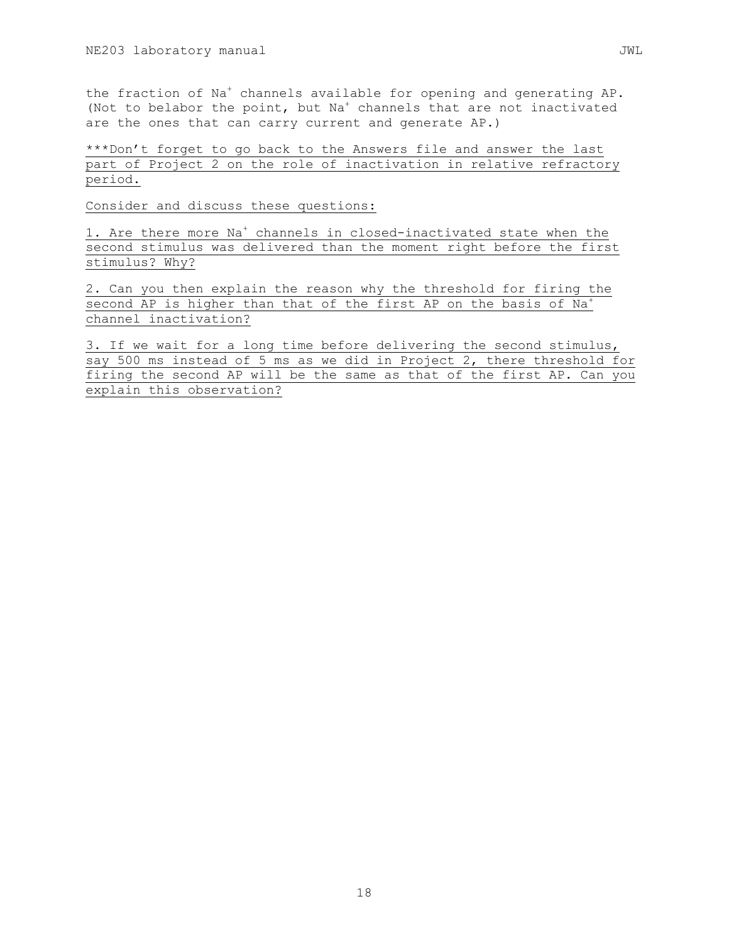the fraction of Na<sup>+</sup> channels available for opening and generating AP. (Not to belabor the point, but Na<sup>+</sup> channels that are not inactivated are the ones that can carry current and generate AP.)

\*\*\*Don't forget to go back to the Answers file and answer the last part of Project 2 on the role of inactivation in relative refractory period.

Consider and discuss these questions:

1. Are there more Na<sup>+</sup> channels in closed-inactivated state when the second stimulus was delivered than the moment right before the first stimulus? Why?

2. Can you then explain the reason why the threshold for firing the second AP is higher than that of the first AP on the basis of Na<sup>+</sup> channel inactivation?

3. If we wait for a long time before delivering the second stimulus, say 500 ms instead of 5 ms as we did in Project 2, there threshold for firing the second AP will be the same as that of the first AP. Can you explain this observation?